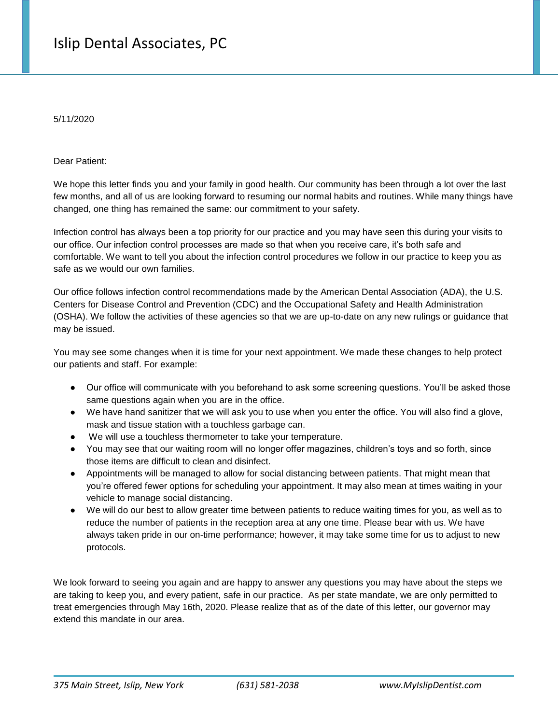5/11/2020

Dear Patient:

We hope this letter finds you and your family in good health. Our community has been through a lot over the last few months, and all of us are looking forward to resuming our normal habits and routines. While many things have changed, one thing has remained the same: our commitment to your safety.

Infection control has always been a top priority for our practice and you may have seen this during your visits to our office. Our infection control processes are made so that when you receive care, it's both safe and comfortable. We want to tell you about the infection control procedures we follow in our practice to keep you as safe as we would our own families.

Our office follows infection control recommendations made by the American Dental Association (ADA), the U.S. Centers for Disease Control and Prevention (CDC) and the Occupational Safety and Health Administration (OSHA). We follow the activities of these agencies so that we are up-to-date on any new rulings or guidance that may be issued.

You may see some changes when it is time for your next appointment. We made these changes to help protect our patients and staff. For example:

- Our office will communicate with you beforehand to ask some screening questions. You'll be asked those same questions again when you are in the office.
- We have hand sanitizer that we will ask you to use when you enter the office. You will also find a glove, mask and tissue station with a touchless garbage can.
- We will use a touchless thermometer to take your temperature.
- You may see that our waiting room will no longer offer magazines, children's toys and so forth, since those items are difficult to clean and disinfect.
- Appointments will be managed to allow for social distancing between patients. That might mean that you're offered fewer options for scheduling your appointment. It may also mean at times waiting in your vehicle to manage social distancing.
- We will do our best to allow greater time between patients to reduce waiting times for you, as well as to reduce the number of patients in the reception area at any one time. Please bear with us. We have always taken pride in our on-time performance; however, it may take some time for us to adjust to new protocols.

We look forward to seeing you again and are happy to answer any questions you may have about the steps we are taking to keep you, and every patient, safe in our practice. As per state mandate, we are only permitted to treat emergencies through May 16th, 2020. Please realize that as of the date of this letter, our governor may extend this mandate in our area.